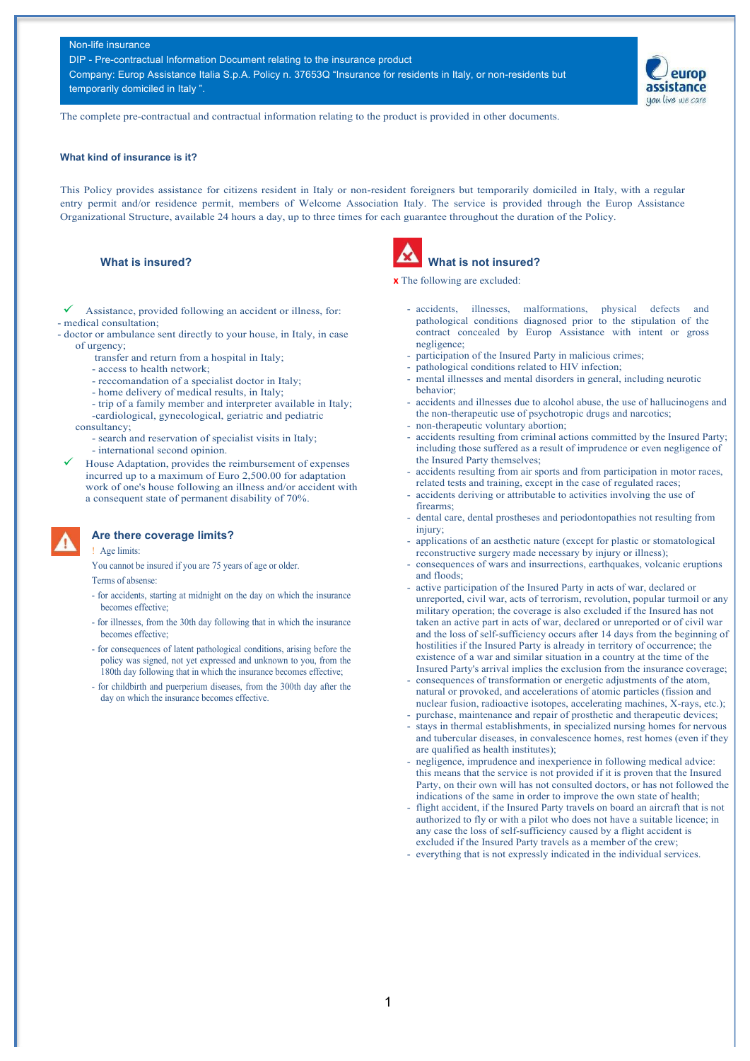#### Non-life insurance

DIP - Pre-contractual Information Document relating to the insurance product Company: Europ Assistance Italia S.p.A. Policy n. 37653Q "Insurance for residents in Italy, or non-residents but temporarily domiciled in Italy ".



The complete pre-contractual and contractual information relating to the product is provided in other documents.

#### **What kind of insurance is it?**

This Policy provides assistance for citizens resident in Italy or non-resident foreigners but temporarily domiciled in Italy, with a regular entry permit and/or residence permit, members of Welcome Association Italy. The service is provided through the Europ Assistance Organizational Structure, available 24 hours a day, up to three times for each guarantee throughout the duration of the Policy.

Assistance, provided following an accident or illness, for: - medical consultation;

- doctor or ambulance sent directly to your house, in Italy, in case of urgency;
	- transfer and return from a hospital in Italy;
	- access to health network;
	- reccomandation of a specialist doctor in Italy;
	- home delivery of medical results, in Italy;
	- trip of a family member and interpreter available in Italy; -cardiological, gynecological, geriatric and pediatric
	- consultancy;
		- search and reservation of specialist visits in Italy; - international second opinion.
	- ! House Adaptation, provides the reimbursement of expenses incurred up to a maximum of Euro 2,500.00 for adaptation work of one's house following an illness and/or accident with a consequent state of permanent disability of 70%.

**Are there coverage limits?**

- ! Age limits:
- You cannot be insured if you are 75 years of age or older.

Terms of absense:

- for accidents, starting at midnight on the day on which the insurance becomes effective;
- for illnesses, from the 30th day following that in which the insurance becomes effective;
- for consequences of latent pathological conditions, arising before the policy was signed, not yet expressed and unknown to you, from the 180th day following that in which the insurance becomes effective;
- for childbirth and puerperium diseases, from the 300th day after the day on which the insurance becomes effective.



# What is insured? **What is insured?**

**x** The following are excluded:

- accidents, illnesses, malformations, physical defects and pathological conditions diagnosed prior to the stipulation of the contract concealed by Europ Assistance with intent or gross negligence;
- participation of the Insured Party in malicious crimes;
- pathological conditions related to HIV infection;
- mental illnesses and mental disorders in general, including neurotic behavior;
- accidents and illnesses due to alcohol abuse, the use of hallucinogens and the non-therapeutic use of psychotropic drugs and narcotics;
- non-therapeutic voluntary abortion;
- accidents resulting from criminal actions committed by the Insured Party; including those suffered as a result of imprudence or even negligence of the Insured Party themselves;
- accidents resulting from air sports and from participation in motor races, related tests and training, except in the case of regulated races;
- accidents deriving or attributable to activities involving the use of firearms;
- dental care, dental prostheses and periodontopathies not resulting from injury;
- applications of an aesthetic nature (except for plastic or stomatological reconstructive surgery made necessary by injury or illness);
- consequences of wars and insurrections, earthquakes, volcanic eruptions and floods;
- active participation of the Insured Party in acts of war, declared or unreported, civil war, acts of terrorism, revolution, popular turmoil or any military operation; the coverage is also excluded if the Insured has not taken an active part in acts of war, declared or unreported or of civil war and the loss of self-sufficiency occurs after 14 days from the beginning of hostilities if the Insured Party is already in territory of occurrence; the existence of a war and similar situation in a country at the time of the Insured Party's arrival implies the exclusion from the insurance coverage;
- consequences of transformation or energetic adjustments of the atom, natural or provoked, and accelerations of atomic particles (fission and nuclear fusion, radioactive isotopes, accelerating machines, X-rays, etc.); purchase, maintenance and repair of prosthetic and therapeutic devices;
- stays in thermal establishments, in specialized nursing homes for nervous and tubercular diseases, in convalescence homes, rest homes (even if they are qualified as health institutes);
- negligence, imprudence and inexperience in following medical advice: this means that the service is not provided if it is proven that the Insured Party, on their own will has not consulted doctors, or has not followed the indications of the same in order to improve the own state of health;
- flight accident, if the Insured Party travels on board an aircraft that is not authorized to fly or with a pilot who does not have a suitable licence; in any case the loss of self-sufficiency caused by a flight accident is excluded if the Insured Party travels as a member of the crew;
- everything that is not expressly indicated in the individual services.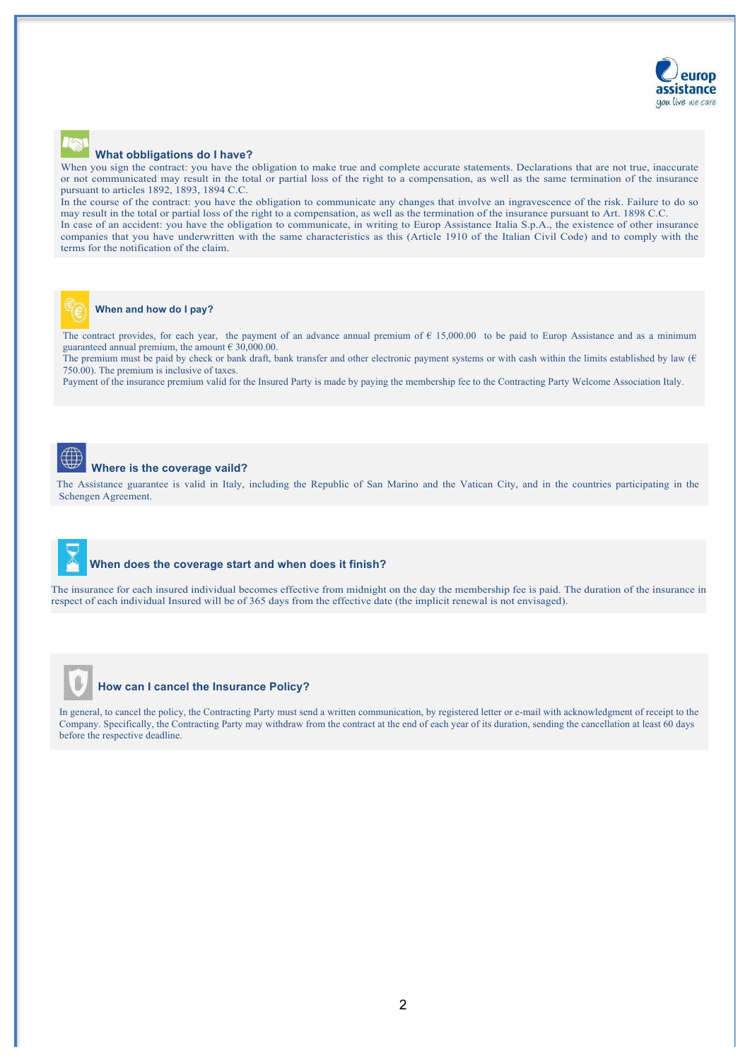

#### **What obbligations do I have?**

When you sign the contract: you have the obligation to make true and complete accurate statements. Declarations that are not true, inaccurate or not communicated may result in the total or partial loss of the right to a compensation, as well as the same termination of the insurance pursuant to articles 1892, 1893, 1894 C.C.

In the course of the contract: you have the obligation to communicate any changes that involve an ingravescence of the risk. Failure to do so may result in the total or partial loss of the right to a compensation, as well as the termination of the insurance pursuant to Art. 1898 C.C. In case of an accident: you have the obligation to communicate, in writing to Europ Assistance Italia S.p.A., the existence of other insurance companies that you have underwritten with the same characteristics as this (Article 1910 of the Italian Civil Code) and to comply with the terms for the notification of the claim.

#### **When and how do I pay?**

The contract provides, for each year, the payment of an advance annual premium of  $\epsilon$  15,000.00 to be paid to Europ Assistance and as a minimum guaranteed annual premium, the amount  $\epsilon$  30,000.00.

The premium must be paid by check or bank draft, bank transfer and other electronic payment systems or with cash within the limits established by law  $(\epsilon)$ 750.00). The premium is inclusive of taxes.

Payment of the insurance premium valid for the Insured Party is made by paying the membership fee to the Contracting Party Welcome Association Italy.

# $\left(\downarrow\downarrow\right)$

#### **Where is the coverage vaild?**

The Assistance guarantee is valid in Italy, including the Republic of San Marino and the Vatican City, and in the countries participating in the Schengen Agreement.

#### **When does the coverage start and when does it finish?**

The insurance for each insured individual becomes effective from midnight on the day the membership fee is paid. The duration of the insurance in respect of each individual Insured will be of 365 days from the effective date (the implicit renewal is not envisaged).



#### **How can I cancel the Insurance Policy?**

In general, to cancel the policy, the Contracting Party must send a written communication, by registered letter or e-mail with acknowledgment of receipt to the Company. Specifically, the Contracting Party may withdraw from the contract at the end of each year of its duration, sending the cancellation at least 60 days before the respective deadline.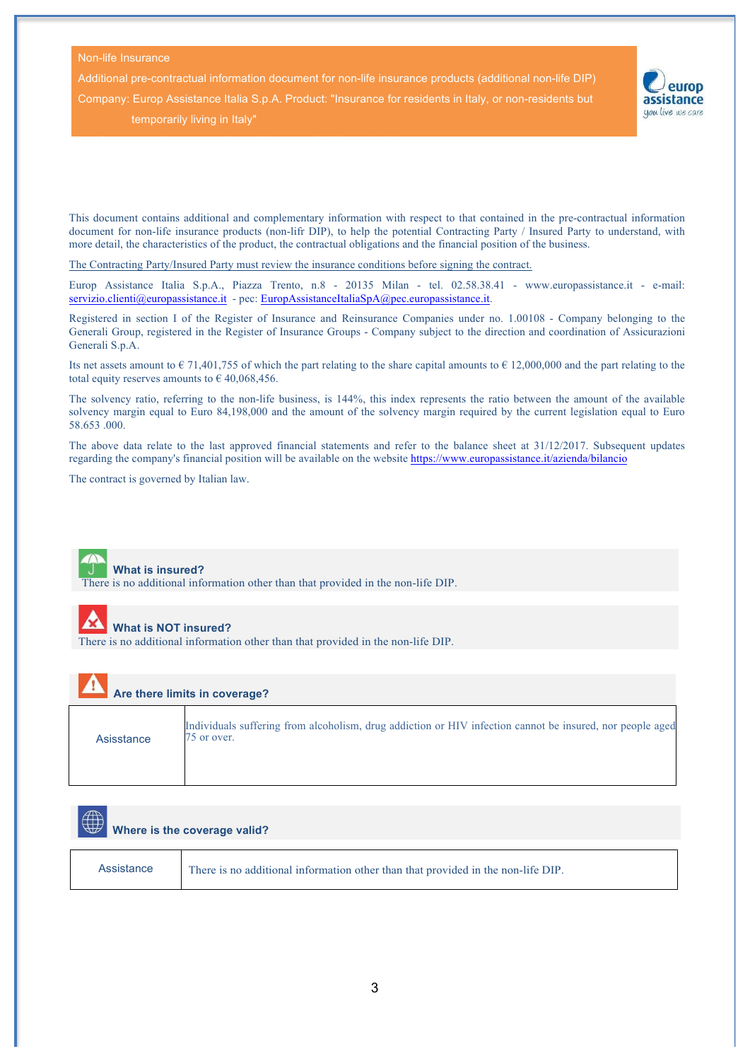

 Additional pre-contractual information document for non-life insurance products (additional non-life DIP) Company: Europ Assistance Italia S.p.A. Product: "Insurance for residents in Italy, or non-residents but temporarily living in Italy"



This document contains additional and complementary information with respect to that contained in the pre-contractual information document for non-life insurance products (non-lifr DIP), to help the potential Contracting Party / Insured Party to understand, with more detail, the characteristics of the product, the contractual obligations and the financial position of the business.

The Contracting Party/Insured Party must review the insurance conditions before signing the contract.

Date of preparation / last update of the additional non-lifr DIP: 01.01.2020

Europ Assistance Italia S.p.A., Piazza Trento, n.8 - 20135 Milan - tel. 02.58.38.41 - www.europassistance.it - e-mail: servizio.clienti@europassistance.it - pec: EuropAssistanceItaliaSpA@pec.europassistance.it.

Registered in section I of the Register of Insurance and Reinsurance Companies under no. 1.00108 - Company belonging to the Generali Group, registered in the Register of Insurance Groups - Company subject to the direction and coordination of Assicurazioni Generali S.p.A.

Its net assets amount to  $\epsilon$  71,401,755 of which the part relating to the share capital amounts to  $\epsilon$  12,000,000 and the part relating to the total equity reserves amounts to  $\epsilon$  40,068,456.

The solvency ratio, referring to the non-life business, is 144%, this index represents the ratio between the amount of the available solvency margin equal to Euro 84,198,000 and the amount of the solvency margin required by the current legislation equal to Euro 58.653 .000.

The above data relate to the last approved financial statements and refer to the balance sheet at 31/12/2017. Subsequent updates regarding the company's financial position will be available on the website https://www.europassistance.it/azienda/bilancio

The contract is governed by Italian law.



 **What is insured?**

There is no additional information other than that provided in the non-life DIP.



#### **What is NOT insured?**

There is no additional information other than that provided in the non-life DIP.



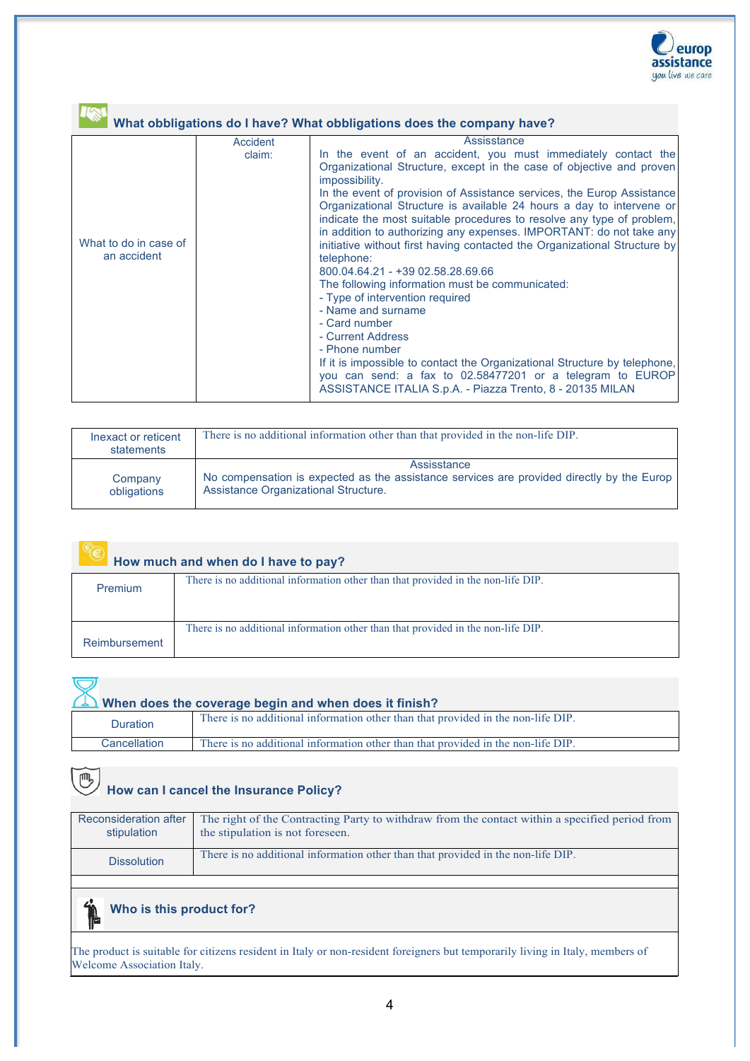

|                                      |                    | What obbligations do I have? What obbligations does the company have?                                                                                                                                                                                                                                                                                                                                                                                                                                                                                                                                                                                                                                                                                                                                                                                                                                                                                                               |
|--------------------------------------|--------------------|-------------------------------------------------------------------------------------------------------------------------------------------------------------------------------------------------------------------------------------------------------------------------------------------------------------------------------------------------------------------------------------------------------------------------------------------------------------------------------------------------------------------------------------------------------------------------------------------------------------------------------------------------------------------------------------------------------------------------------------------------------------------------------------------------------------------------------------------------------------------------------------------------------------------------------------------------------------------------------------|
| What to do in case of<br>an accident | Accident<br>claim: | Assisstance<br>In the event of an accident, you must immediately contact the<br>Organizational Structure, except in the case of objective and proven<br>impossibility.<br>In the event of provision of Assistance services, the Europ Assistance<br>Organizational Structure is available 24 hours a day to intervene or<br>indicate the most suitable procedures to resolve any type of problem,<br>in addition to authorizing any expenses. IMPORTANT: do not take any<br>initiative without first having contacted the Organizational Structure by<br>telephone:<br>800.04.64.21 - +39 02.58.28.69.66<br>The following information must be communicated:<br>- Type of intervention required<br>- Name and surname<br>- Card number<br>- Current Address<br>- Phone number<br>If it is impossible to contact the Organizational Structure by telephone,<br>you can send: a fax to 02.58477201 or a telegram to EUROP<br>ASSISTANCE ITALIA S.p.A. - Piazza Trento, 8 - 20135 MILAN |

| Inexact or reticent<br>statements | There is no additional information other than that provided in the non-life DIP.                                                                 |
|-----------------------------------|--------------------------------------------------------------------------------------------------------------------------------------------------|
| Company<br>obligations            | Assisstance<br>No compensation is expected as the assistance services are provided directly by the Europ<br>Assistance Organizational Structure. |

| How much and when do I have to pay? |                                                                                  |  |
|-------------------------------------|----------------------------------------------------------------------------------|--|
| Premium                             | There is no additional information other than that provided in the non-life DIP. |  |
| Reimbursement                       | There is no additional information other than that provided in the non-life DIP. |  |

| When does the coverage begin and when does it finish? |                                                                                  |  |
|-------------------------------------------------------|----------------------------------------------------------------------------------|--|
| <b>Duration</b>                                       | There is no additional information other than that provided in the non-life DIP. |  |
| Cancellation                                          | There is no additional information other than that provided in the non-life DIP. |  |

# **How can I cancel the Insurance Policy?**

| Reconsideration after<br>stipulation | The right of the Contracting Party to withdraw from the contact within a specified period from<br>the stipulation is not foreseen. |
|--------------------------------------|------------------------------------------------------------------------------------------------------------------------------------|
| <b>Dissolution</b>                   | There is no additional information other than that provided in the non-life DIP.                                                   |
|                                      |                                                                                                                                    |

## $\hat{\mathbb{P}}$ **Who is this product for?**

 $\widetilde{\mathbb{C}}$ 

I

The product is suitable for citizens resident in Italy or non-resident foreigners but temporarily living in Italy, members of Welcome Association Italy.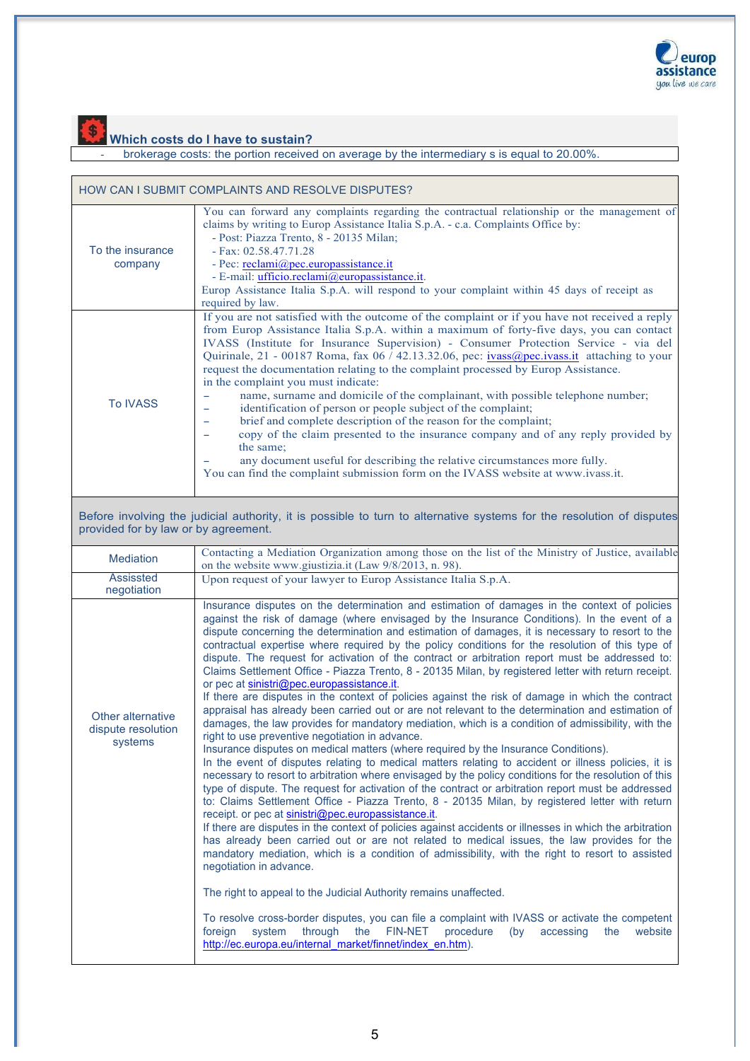



#### **Which costs do I have to sustain?**

brokerage costs: the portion received on average by the intermediary s is equal to 20.00%.

| <b>HOW CAN I SUBMIT COMPLAINTS AND RESOLVE DISPUTES?</b> |                                                                                                                                                                                                                                                                                                                                                                                                                                                                                                                                                                                                                                                                                                                                                                                                                                                                                                                                                                                                       |  |
|----------------------------------------------------------|-------------------------------------------------------------------------------------------------------------------------------------------------------------------------------------------------------------------------------------------------------------------------------------------------------------------------------------------------------------------------------------------------------------------------------------------------------------------------------------------------------------------------------------------------------------------------------------------------------------------------------------------------------------------------------------------------------------------------------------------------------------------------------------------------------------------------------------------------------------------------------------------------------------------------------------------------------------------------------------------------------|--|
| To the insurance<br>company                              | You can forward any complaints regarding the contractual relationship or the management of<br>claims by writing to Europ Assistance Italia S.p.A. - c.a. Complaints Office by:<br>- Post: Piazza Trento, 8 - 20135 Milan;<br>$-$ Fax: 02.58.47.71.28<br>- Pec: reclami@pec.europassistance.it<br>- E-mail: ufficio.reclami@europassistance.it.<br>Europ Assistance Italia S.p.A. will respond to your complaint within 45 days of receipt as<br>required by law.                                                                                                                                                                                                                                                                                                                                                                                                                                                                                                                                      |  |
| <b>To IVASS</b>                                          | If you are not satisfied with the outcome of the complaint or if you have not received a reply<br>from Europ Assistance Italia S.p.A. within a maximum of forty-five days, you can contact<br>IVASS (Institute for Insurance Supervision) - Consumer Protection Service - via del<br>Quirinale, 21 - 00187 Roma, fax 06 / 42.13.32.06, pec: ivass@pec.ivass.it attaching to your<br>request the documentation relating to the complaint processed by Europ Assistance.<br>in the complaint you must indicate:<br>name, surname and domicile of the complainant, with possible telephone number;<br>identification of person or people subject of the complaint;<br>brief and complete description of the reason for the complaint;<br>copy of the claim presented to the insurance company and of any reply provided by<br>the same:<br>any document useful for describing the relative circumstances more fully.<br>You can find the complaint submission form on the IVASS website at www.ivass.it. |  |

Before involving the judicial authority, it is possible to turn to alternative systems for the resolution of disputes provided for by law or by agreement.

| <b>Mediation</b>                                   | Contacting a Mediation Organization among those on the list of the Ministry of Justice, available<br>on the website www.giustizia.it (Law 9/8/2013, n. 98).                                                                                                                                                                                                                                                                                                                                                                                                                                                                                                                                                                                                                                                                                                                                                                                                                                                                                                                                                                                                                                                                                                                                                                                                                                                                                                                                                                                                                                                                                                                                                                                                                                                                                                                                                                                         |
|----------------------------------------------------|-----------------------------------------------------------------------------------------------------------------------------------------------------------------------------------------------------------------------------------------------------------------------------------------------------------------------------------------------------------------------------------------------------------------------------------------------------------------------------------------------------------------------------------------------------------------------------------------------------------------------------------------------------------------------------------------------------------------------------------------------------------------------------------------------------------------------------------------------------------------------------------------------------------------------------------------------------------------------------------------------------------------------------------------------------------------------------------------------------------------------------------------------------------------------------------------------------------------------------------------------------------------------------------------------------------------------------------------------------------------------------------------------------------------------------------------------------------------------------------------------------------------------------------------------------------------------------------------------------------------------------------------------------------------------------------------------------------------------------------------------------------------------------------------------------------------------------------------------------------------------------------------------------------------------------------------------------|
| Assissted<br>negotiation                           | Upon request of your lawyer to Europ Assistance Italia S.p.A.                                                                                                                                                                                                                                                                                                                                                                                                                                                                                                                                                                                                                                                                                                                                                                                                                                                                                                                                                                                                                                                                                                                                                                                                                                                                                                                                                                                                                                                                                                                                                                                                                                                                                                                                                                                                                                                                                       |
| Other alternative<br>dispute resolution<br>systems | Insurance disputes on the determination and estimation of damages in the context of policies<br>against the risk of damage (where envisaged by the Insurance Conditions). In the event of a<br>dispute concerning the determination and estimation of damages, it is necessary to resort to the<br>contractual expertise where required by the policy conditions for the resolution of this type of<br>dispute. The request for activation of the contract or arbitration report must be addressed to:<br>Claims Settlement Office - Piazza Trento, 8 - 20135 Milan, by registered letter with return receipt.<br>or pec at sinistri@pec.europassistance.it.<br>If there are disputes in the context of policies against the risk of damage in which the contract<br>appraisal has already been carried out or are not relevant to the determination and estimation of<br>damages, the law provides for mandatory mediation, which is a condition of admissibility, with the<br>right to use preventive negotiation in advance.<br>Insurance disputes on medical matters (where required by the Insurance Conditions).<br>In the event of disputes relating to medical matters relating to accident or illness policies, it is<br>necessary to resort to arbitration where envisaged by the policy conditions for the resolution of this<br>type of dispute. The request for activation of the contract or arbitration report must be addressed<br>to: Claims Settlement Office - Piazza Trento, 8 - 20135 Milan, by registered letter with return<br>receipt. or pec at sinistri@pec.europassistance.it.<br>If there are disputes in the context of policies against accidents or illnesses in which the arbitration<br>has already been carried out or are not related to medical issues, the law provides for the<br>mandatory mediation, which is a condition of admissibility, with the right to resort to assisted<br>negotiation in advance. |
|                                                    | The right to appeal to the Judicial Authority remains unaffected.                                                                                                                                                                                                                                                                                                                                                                                                                                                                                                                                                                                                                                                                                                                                                                                                                                                                                                                                                                                                                                                                                                                                                                                                                                                                                                                                                                                                                                                                                                                                                                                                                                                                                                                                                                                                                                                                                   |
|                                                    | To resolve cross-border disputes, you can file a complaint with IVASS or activate the competent<br><b>FIN-NET</b><br>through<br>system<br>the<br>procedure<br>the<br>foreign<br>(bv)<br>accessing<br>website<br>http://ec.europa.eu/internal_market/finnet/index_en.htm).                                                                                                                                                                                                                                                                                                                                                                                                                                                                                                                                                                                                                                                                                                                                                                                                                                                                                                                                                                                                                                                                                                                                                                                                                                                                                                                                                                                                                                                                                                                                                                                                                                                                           |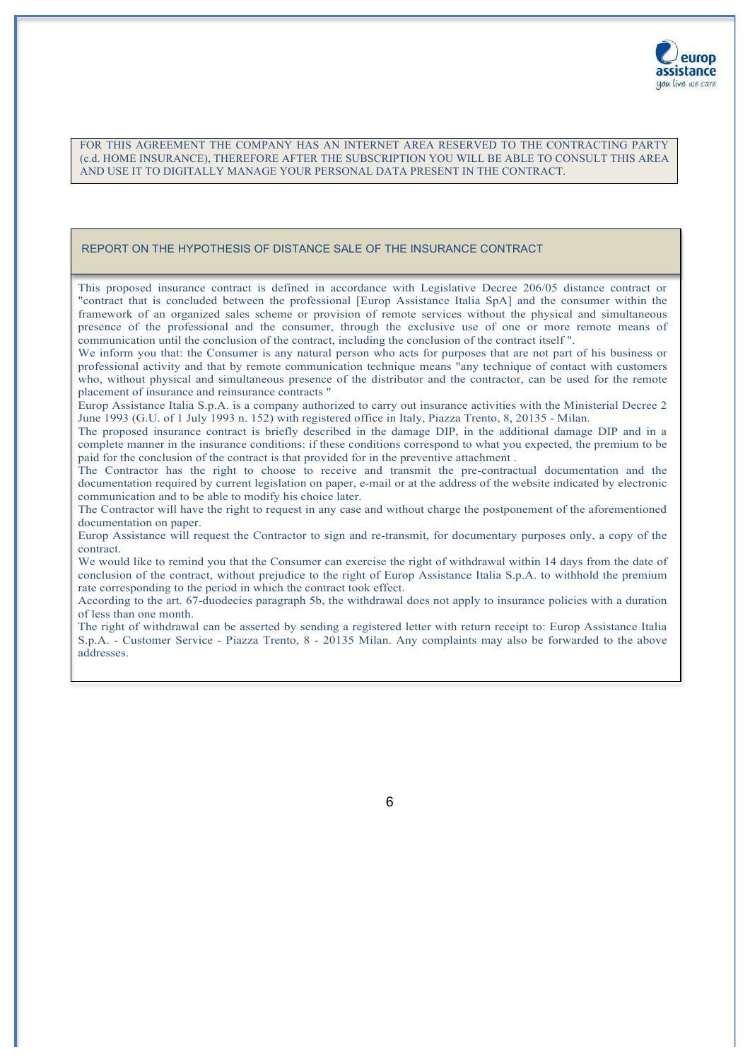

FOR THIS AGREEMENT THE COMPANY HAS AN INTERNET AREA RESERVED TO THE CONTRACTING PARTY (c.d. HOME INSURANCE), THEREFORE AFTER THE SUBSCRIPTION YOU WILL BE ABLE TO CONSULT THIS AREA AND USE IT TO DIGITALLY MANAGE YOUR PERSONAL DATA PRESENT IN THE CONTRACT.

#### REPORT ON THE HYPOTHESIS OF DISTANCE SALE OF THE INSURANCE CONTRACT

This proposed insurance contract is defined in accordance with Legislative Decree 206/05 distance contract or "contract that is concluded between the professional [Europ Assistance Italia SpA] and the consumer within the framework of an organized sales scheme or provision of remote services without the physical and simultaneous presence of the professional and the consumer, through the exclusive use of one or more remote means of communication until the conclusion of the contract, including the conclusion of the contract itself ".

We inform you that: the Consumer is any natural person who acts for purposes that are not part of his business or professional activity and that by remote communication technique means "any technique of contact with customers who, without physical and simultaneous presence of the distributor and the contractor, can be used for the remote placement of insurance and reinsurance contracts "

Europ Assistance Italia S.p.A. is a company authorized to carry out insurance activities with the Ministerial Decree 2 June 1993 (G.U. of 1 July 1993 n. 152) with registered office in Italy, Piazza Trento, 8, 20135 - Milan.

The proposed insurance contract is briefly described in the damage DIP, in the additional damage DIP and in a complete manner in the insurance conditions: if these conditions correspond to what you expected, the premium to be paid for the conclusion of the contract is that provided for in the preventive attachment .

The Contractor has the right to choose to receive and transmit the pre-contractual documentation and the documentation required by current legislation on paper, e-mail or at the address of the website indicated by electronic communication and to be able to modify his choice later.

The Contractor will have the right to request in any case and without charge the postponement of the aforementioned documentation on paper.

Europ Assistance will request the Contractor to sign and re-transmit, for documentary purposes only, a copy of the contract.

We would like to remind you that the Consumer can exercise the right of withdrawal within 14 days from the date of conclusion of the contract, without prejudice to the right of Europ Assistance Italia S.p.A. to withhold the premium rate corresponding to the period in which the contract took effect.

According to the art. 67-duodecies paragraph 5b, the withdrawal does not apply to insurance policies with a duration of less than one month.

The right of withdrawal can be asserted by sending a registered letter with return receipt to: Europ Assistance Italia S.p.A. - Customer Service - Piazza Trento, 8 - 20135 Milan. Any complaints may also be forwarded to the above addresses.

6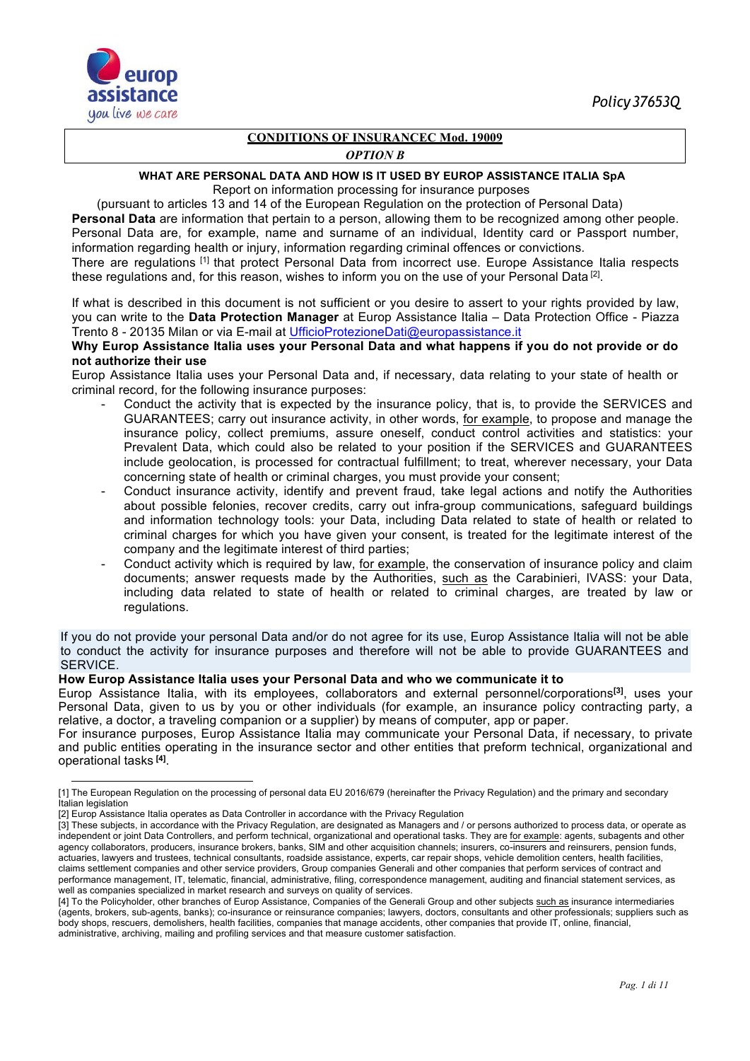

## **CONDITIONS OF INSURANCEC Mod. 19009**

#### *OPTION B*

#### **WHAT ARE PERSONAL DATA AND HOW IS IT USED BY EUROP ASSISTANCE ITALIA SpA** Report on information processing for insurance purposes

 (pursuant to articles 13 and 14 of the European Regulation on the protection of Personal Data) **Personal Data** are information that pertain to a person, allowing them to be recognized among other people. Personal Data are, for example, name and surname of an individual, Identity card or Passport number, information regarding health or injury, information regarding criminal offences or convictions. There are regulations [1] that protect Personal Data from incorrect use. Europe Assistance Italia respects

these regulations and, for this reason, wishes to inform you on the use of your Personal Data [2] .

If what is described in this document is not sufficient or you desire to assert to your rights provided by law, you can write to the **Data Protection Manager** at Europ Assistance Italia – Data Protection Office - Piazza Trento 8 - 20135 Milan or via E-mail at UfficioProtezioneDati@europassistance.it

#### **Why Europ Assistance Italia uses your Personal Data and what happens if you do not provide or do not authorize their use**

Europ Assistance Italia uses your Personal Data and, if necessary, data relating to your state of health or criminal record, for the following insurance purposes:

- Conduct the activity that is expected by the insurance policy, that is, to provide the SERVICES and GUARANTEES; carry out insurance activity, in other words, for example, to propose and manage the insurance policy, collect premiums, assure oneself, conduct control activities and statistics: your Prevalent Data, which could also be related to your position if the SERVICES and GUARANTEES include geolocation, is processed for contractual fulfillment; to treat, wherever necessary, your Data concerning state of health or criminal charges, you must provide your consent;
- Conduct insurance activity, identify and prevent fraud, take legal actions and notify the Authorities about possible felonies, recover credits, carry out infra-group communications, safeguard buildings and information technology tools: your Data, including Data related to state of health or related to criminal charges for which you have given your consent, is treated for the legitimate interest of the company and the legitimate interest of third parties;
- Conduct activity which is required by law, for example, the conservation of insurance policy and claim documents; answer requests made by the Authorities, such as the Carabinieri, IVASS: your Data, including data related to state of health or related to criminal charges, are treated by law or regulations.

If you do not provide your personal Data and/or do not agree for its use, Europ Assistance Italia will not be able to conduct the activity for insurance purposes and therefore will not be able to provide GUARANTEES and SERVICE.

#### **How Europ Assistance Italia uses your Personal Data and who we communicate it to**

Europ Assistance Italia, with its employees, collaborators and external personnel/corporations**[3]**, uses your Personal Data, given to us by you or other individuals (for example, an insurance policy contracting party, a relative, a doctor, a traveling companion or a supplier) by means of computer, app or paper.

For insurance purposes, Europ Assistance Italia may communicate your Personal Data, if necessary, to private and public entities operating in the insurance sector and other entities that preform technical, organizational and operational tasks **[4]** .

<sup>[1]</sup> The European Regulation on the processing of personal data EU 2016/679 (hereinafter the Privacy Regulation) and the primary and secondary Italian legislation

<sup>[2]</sup> Europ Assistance Italia operates as Data Controller in accordance with the Privacy Regulation

<sup>[3]</sup> These subjects, in accordance with the Privacy Regulation, are designated as Managers and / or persons authorized to process data, or operate as independent or joint Data Controllers, and perform technical, organizational and operational tasks. They are for example: agents, subagents and other agency collaborators, producers, insurance brokers, banks, SIM and other acquisition channels; insurers, co-insurers and reinsurers, pension funds, actuaries, lawyers and trustees, technical consultants, roadside assistance, experts, car repair shops, vehicle demolition centers, health facilities, claims settlement companies and other service providers, Group companies Generali and other companies that perform services of contract and performance management, IT, telematic, financial, administrative, filing, correspondence management, auditing and financial statement services, as well as companies specialized in market research and surveys on quality of services.

<sup>[4]</sup> To the Policyholder, other branches of Europ Assistance, Companies of the Generali Group and other subjects such as insurance intermediaries (agents, brokers, sub-agents, banks); co-insurance or reinsurance companies; lawyers, doctors, consultants and other professionals; suppliers such as body shops, rescuers, demolishers, health facilities, companies that manage accidents, other companies that provide IT, online, financial, administrative, archiving, mailing and profiling services and that measure customer satisfaction.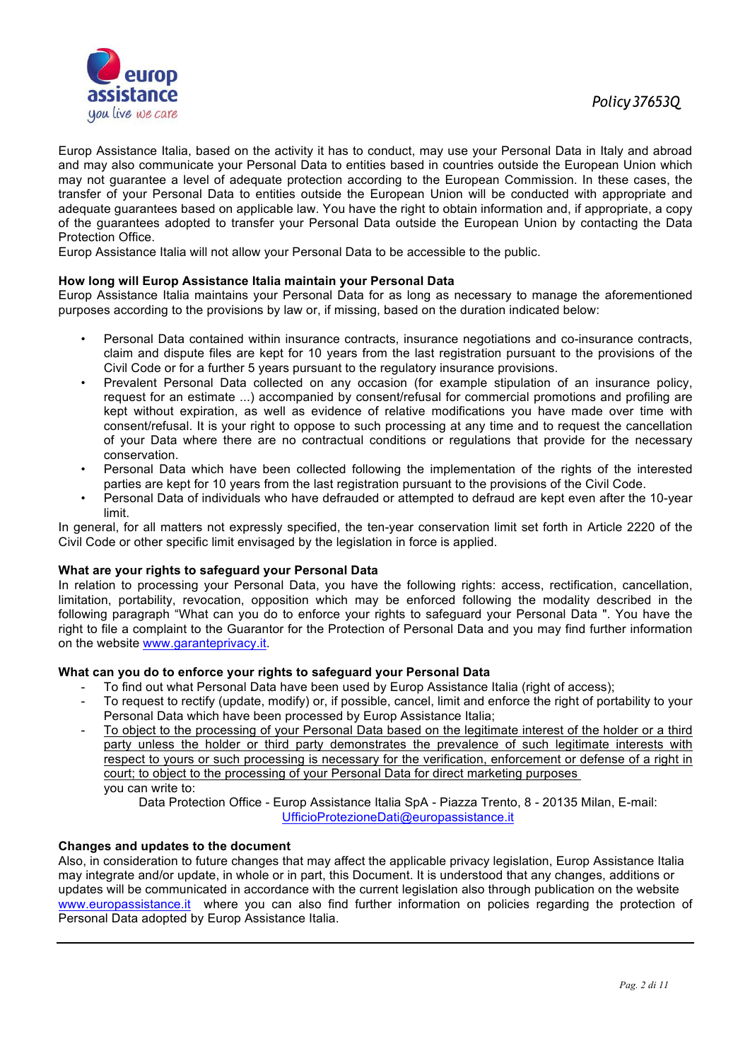

Europ Assistance Italia, based on the activity it has to conduct, may use your Personal Data in Italy and abroad and may also communicate your Personal Data to entities based in countries outside the European Union which may not guarantee a level of adequate protection according to the European Commission. In these cases, the transfer of your Personal Data to entities outside the European Union will be conducted with appropriate and adequate guarantees based on applicable law. You have the right to obtain information and, if appropriate, a copy of the guarantees adopted to transfer your Personal Data outside the European Union by contacting the Data Protection Office.

Europ Assistance Italia will not allow your Personal Data to be accessible to the public.

#### **How long will Europ Assistance Italia maintain your Personal Data**

Europ Assistance Italia maintains your Personal Data for as long as necessary to manage the aforementioned purposes according to the provisions by law or, if missing, based on the duration indicated below:

- Personal Data contained within insurance contracts, insurance negotiations and co-insurance contracts, claim and dispute files are kept for 10 years from the last registration pursuant to the provisions of the Civil Code or for a further 5 years pursuant to the regulatory insurance provisions.
- Prevalent Personal Data collected on any occasion (for example stipulation of an insurance policy, request for an estimate ...) accompanied by consent/refusal for commercial promotions and profiling are kept without expiration, as well as evidence of relative modifications you have made over time with consent/refusal. It is your right to oppose to such processing at any time and to request the cancellation of your Data where there are no contractual conditions or regulations that provide for the necessary conservation.
- Personal Data which have been collected following the implementation of the rights of the interested parties are kept for 10 years from the last registration pursuant to the provisions of the Civil Code.
- Personal Data of individuals who have defrauded or attempted to defraud are kept even after the 10-year limit.

In general, for all matters not expressly specified, the ten-year conservation limit set forth in Article 2220 of the Civil Code or other specific limit envisaged by the legislation in force is applied.

## **What are your rights to safeguard your Personal Data**

In relation to processing your Personal Data, you have the following rights: access, rectification, cancellation, limitation, portability, revocation, opposition which may be enforced following the modality described in the following paragraph "What can you do to enforce your rights to safeguard your Personal Data ". You have the right to file a complaint to the Guarantor for the Protection of Personal Data and you may find further information on the website www.garanteprivacy.it.

#### **What can you do to enforce your rights to safeguard your Personal Data**

- To find out what Personal Data have been used by Europ Assistance Italia (right of access);
- To request to rectify (update, modify) or, if possible, cancel, limit and enforce the right of portability to your Personal Data which have been processed by Europ Assistance Italia;
- To object to the processing of your Personal Data based on the legitimate interest of the holder or a third party unless the holder or third party demonstrates the prevalence of such legitimate interests with respect to yours or such processing is necessary for the verification, enforcement or defense of a right in court; to object to the processing of your Personal Data for direct marketing purposes you can write to:

Data Protection Office - Europ Assistance Italia SpA - Piazza Trento, 8 - 20135 Milan, E-mail: UfficioProtezioneDati@europassistance.it

#### **Changes and updates to the document**

Also, in consideration to future changes that may affect the applicable privacy legislation, Europ Assistance Italia may integrate and/or update, in whole or in part, this Document. It is understood that any changes, additions or updates will be communicated in accordance with the current legislation also through publication on the website www.europassistance.it where you can also find further information on policies regarding the protection of Personal Data adopted by Europ Assistance Italia.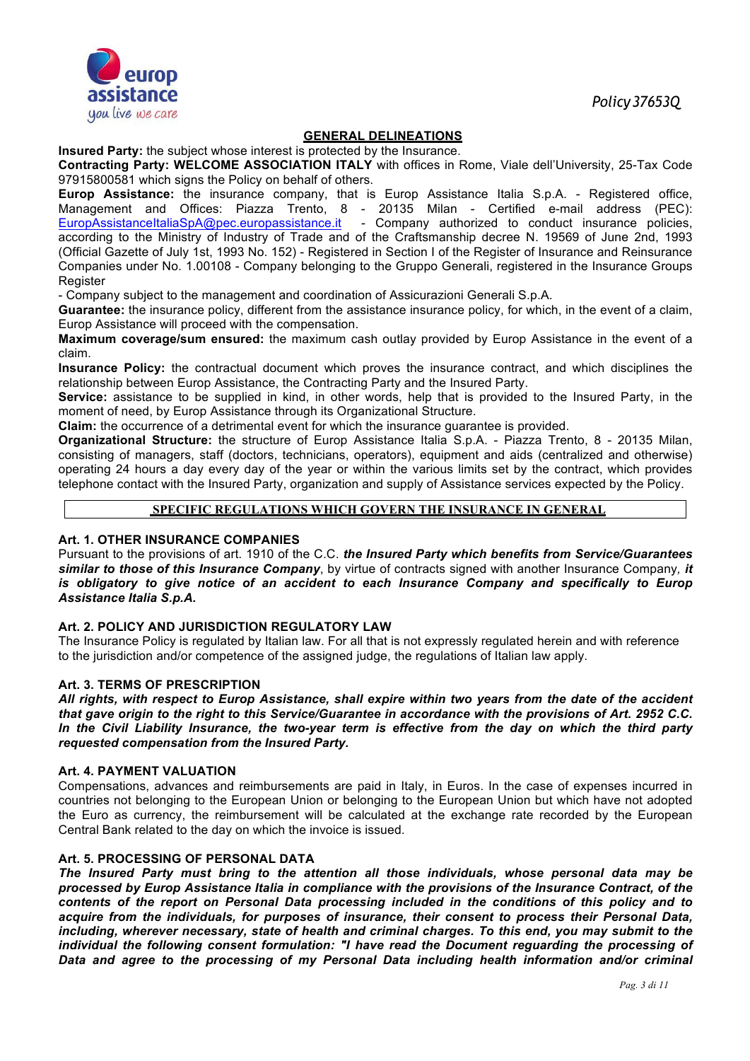

*Policy37653Q*

### **GENERAL DELINEATIONS**

**Insured Party:** the subject whose interest is protected by the Insurance.

**Contracting Party: WELCOME ASSOCIATION ITALY** with offices in Rome, Viale dell'University, 25-Tax Code 97915800581 which signs the Policy on behalf of others.

**Europ Assistance:** the insurance company, that is Europ Assistance Italia S.p.A. - Registered office, Management and Offices: Piazza Trento, 8 - 20135 Milan - Certified e-mail address (PEC): EuropAssistanceItaliaSpA@pec.europassistance.it - Company authorized to conduct insurance policies, according to the Ministry of Industry of Trade and of the Craftsmanship decree N. 19569 of June 2nd, 1993 (Official Gazette of July 1st, 1993 No. 152) - Registered in Section I of the Register of Insurance and Reinsurance Companies under No. 1.00108 - Company belonging to the Gruppo Generali, registered in the Insurance Groups Register

- Company subject to the management and coordination of Assicurazioni Generali S.p.A.

**Guarantee:** the insurance policy, different from the assistance insurance policy, for which, in the event of a claim, Europ Assistance will proceed with the compensation.

**Maximum coverage/sum ensured:** the maximum cash outlay provided by Europ Assistance in the event of a claim.

**Insurance Policy:** the contractual document which proves the insurance contract, and which disciplines the relationship between Europ Assistance, the Contracting Party and the Insured Party.

**Service:** assistance to be supplied in kind, in other words, help that is provided to the Insured Party, in the moment of need, by Europ Assistance through its Organizational Structure.

**Claim:** the occurrence of a detrimental event for which the insurance guarantee is provided.

**Organizational Structure:** the structure of Europ Assistance Italia S.p.A. - Piazza Trento, 8 - 20135 Milan, consisting of managers, staff (doctors, technicians, operators), equipment and aids (centralized and otherwise) operating 24 hours a day every day of the year or within the various limits set by the contract, which provides telephone contact with the Insured Party, organization and supply of Assistance services expected by the Policy.

#### **SPECIFIC REGULATIONS WHICH GOVERN THE INSURANCE IN GENERAL**

#### **Art. 1. OTHER INSURANCE COMPANIES**

Pursuant to the provisions of art. 1910 of the C.C. *the Insured Party which benefits from Service/Guarantees similar to those of this Insurance Company*, by virtue of contracts signed with another Insurance Company*, it is obligatory to give notice of an accident to each Insurance Company and specifically to Europ Assistance Italia S.p.A.*

#### **Art. 2. POLICY AND JURISDICTION REGULATORY LAW**

The Insurance Policy is regulated by Italian law. For all that is not expressly regulated herein and with reference to the jurisdiction and/or competence of the assigned judge, the regulations of Italian law apply.

# **Art. 3. TERMS OF PRESCRIPTION**

*All rights, with respect to Europ Assistance, shall expire within two years from the date of the accident that gave origin to the right to this Service/Guarantee in accordance with the provisions of Art. 2952 C.C. In the Civil Liability Insurance, the two-year term is effective from the day on which the third party requested compensation from the Insured Party.*

#### **Art. 4. PAYMENT VALUATION**

Compensations, advances and reimbursements are paid in Italy, in Euros. In the case of expenses incurred in countries not belonging to the European Union or belonging to the European Union but which have not adopted the Euro as currency, the reimbursement will be calculated at the exchange rate recorded by the European Central Bank related to the day on which the invoice is issued.

#### **Art. 5. PROCESSING OF PERSONAL DATA**

*The Insured Party must bring to the attention all those individuals, whose personal data may be processed by Europ Assistance Italia in compliance with the provisions of the Insurance Contract, of the contents of the report on Personal Data processing included in the conditions of this policy and to acquire from the individuals, for purposes of insurance, their consent to process their Personal Data, including, wherever necessary, state of health and criminal charges. To this end, you may submit to the individual the following consent formulation: "I have read the Document reguarding the processing of Data and agree to the processing of my Personal Data including health information and/or criminal*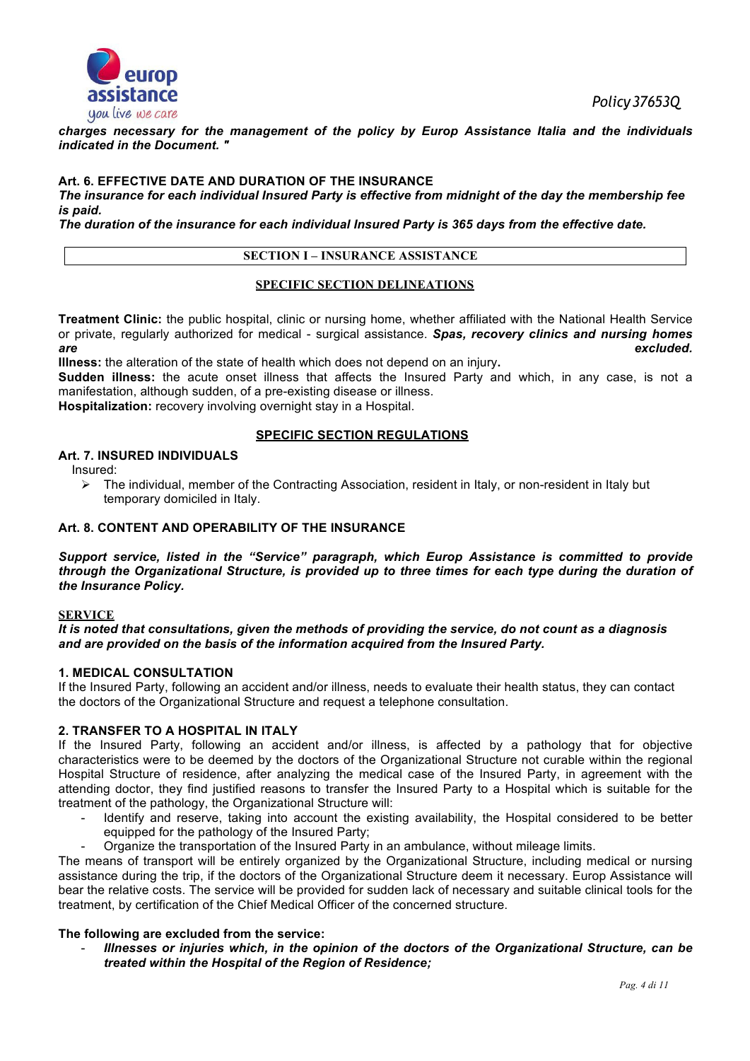



*charges necessary for the management of the policy by Europ Assistance Italia and the individuals indicated in the Document. "*

#### **Art. 6. EFFECTIVE DATE AND DURATION OF THE INSURANCE**

*The insurance for each individual Insured Party is effective from midnight of the day the membership fee is paid.*

*The duration of the insurance for each individual Insured Party is 365 days from the effective date.*

#### **SECTION I – INSURANCE ASSISTANCE**

#### **SPECIFIC SECTION DELINEATIONS**

**Treatment Clinic:** the public hospital, clinic or nursing home, whether affiliated with the National Health Service or private, regularly authorized for medical - surgical assistance. *Spas, recovery clinics and nursing homes are excluded.* 

**Illness:** the alteration of the state of health which does not depend on an injury**.** 

**Sudden illness:** the acute onset illness that affects the Insured Party and which, in any case, is not a manifestation, although sudden, of a pre-existing disease or illness.

**Hospitalization:** recovery involving overnight stay in a Hospital.

#### **SPECIFIC SECTION REGULATIONS**

#### **Art. 7. INSURED INDIVIDUALS**

Insured:

 $\triangleright$  The individual, member of the Contracting Association, resident in Italy, or non-resident in Italy but temporary domiciled in Italy.

#### **Art. 8. CONTENT AND OPERABILITY OF THE INSURANCE**

*Support service, listed in the "Service" paragraph, which Europ Assistance is committed to provide through the Organizational Structure, is provided up to three times for each type during the duration of the Insurance Policy.*

#### **SERVICE**

*It is noted that consultations, given the methods of providing the service, do not count as a diagnosis and are provided on the basis of the information acquired from the Insured Party.* 

#### **1. MEDICAL CONSULTATION**

If the Insured Party, following an accident and/or illness, needs to evaluate their health status, they can contact the doctors of the Organizational Structure and request a telephone consultation.

#### **2. TRANSFER TO A HOSPITAL IN ITALY**

If the Insured Party, following an accident and/or illness, is affected by a pathology that for objective characteristics were to be deemed by the doctors of the Organizational Structure not curable within the regional Hospital Structure of residence, after analyzing the medical case of the Insured Party, in agreement with the attending doctor, they find justified reasons to transfer the Insured Party to a Hospital which is suitable for the treatment of the pathology, the Organizational Structure will:

- Identify and reserve, taking into account the existing availability, the Hospital considered to be better equipped for the pathology of the Insured Party;
- Organize the transportation of the Insured Party in an ambulance, without mileage limits.

The means of transport will be entirely organized by the Organizational Structure, including medical or nursing assistance during the trip, if the doctors of the Organizational Structure deem it necessary. Europ Assistance will bear the relative costs. The service will be provided for sudden lack of necessary and suitable clinical tools for the treatment, by certification of the Chief Medical Officer of the concerned structure.

#### **The following are excluded from the service:**

- *Illnesses or injuries which, in the opinion of the doctors of the Organizational Structure, can be treated within the Hospital of the Region of Residence;*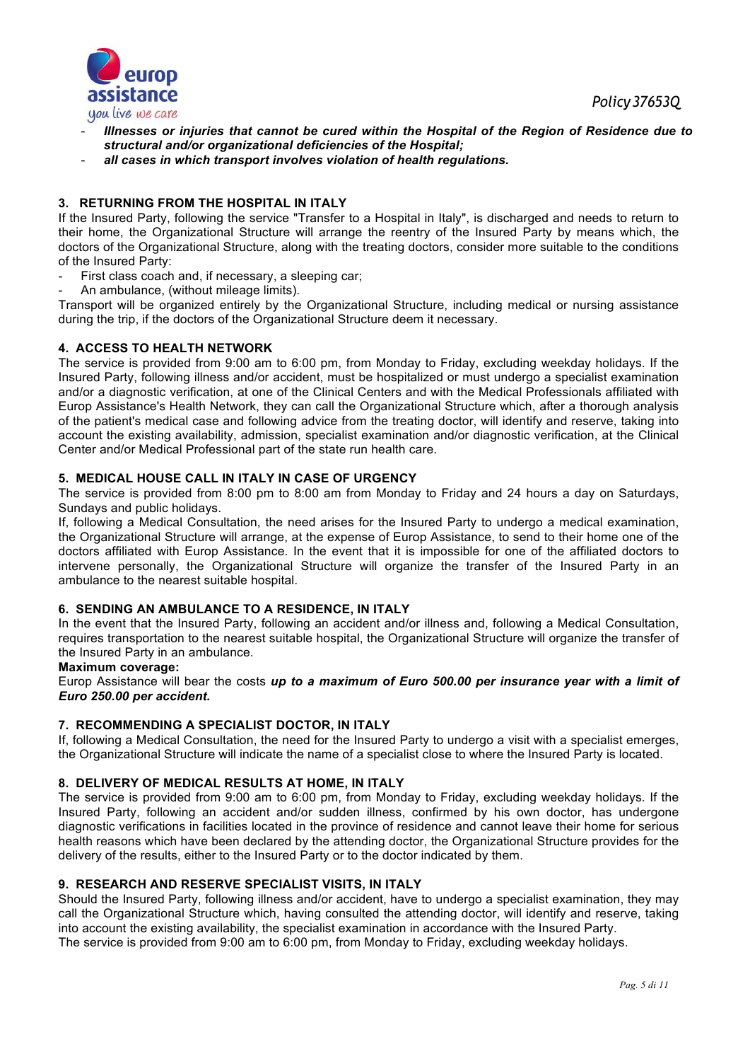

- *Illnesses or injuries that cannot be cured within the Hospital of the Region of Residence due to structural and/or organizational deficiencies of the Hospital;*
- *all cases in which transport involves violation of health regulations.*

# **3. RETURNING FROM THE HOSPITAL IN ITALY**

If the Insured Party, following the service "Transfer to a Hospital in Italy", is discharged and needs to return to their home, the Organizational Structure will arrange the reentry of the Insured Party by means which, the doctors of the Organizational Structure, along with the treating doctors, consider more suitable to the conditions of the Insured Party:

- First class coach and, if necessary, a sleeping car;
- An ambulance, (without mileage limits).

Transport will be organized entirely by the Organizational Structure, including medical or nursing assistance during the trip, if the doctors of the Organizational Structure deem it necessary.

#### **4. ACCESS TO HEALTH NETWORK**

The service is provided from 9:00 am to 6:00 pm, from Monday to Friday, excluding weekday holidays. If the Insured Party, following illness and/or accident, must be hospitalized or must undergo a specialist examination and/or a diagnostic verification, at one of the Clinical Centers and with the Medical Professionals affiliated with Europ Assistance's Health Network, they can call the Organizational Structure which, after a thorough analysis of the patient's medical case and following advice from the treating doctor, will identify and reserve, taking into account the existing availability, admission, specialist examination and/or diagnostic verification, at the Clinical Center and/or Medical Professional part of the state run health care.

#### **5. MEDICAL HOUSE CALL IN ITALY IN CASE OF URGENCY**

The service is provided from 8:00 pm to 8:00 am from Monday to Friday and 24 hours a day on Saturdays, Sundays and public holidays.

If, following a Medical Consultation, the need arises for the Insured Party to undergo a medical examination, the Organizational Structure will arrange, at the expense of Europ Assistance, to send to their home one of the doctors affiliated with Europ Assistance. In the event that it is impossible for one of the affiliated doctors to intervene personally, the Organizational Structure will organize the transfer of the Insured Party in an ambulance to the nearest suitable hospital.

#### **6. SENDING AN AMBULANCE TO A RESIDENCE, IN ITALY**

In the event that the Insured Party, following an accident and/or illness and, following a Medical Consultation, requires transportation to the nearest suitable hospital, the Organizational Structure will organize the transfer of the Insured Party in an ambulance.

#### **Maximum coverage:**

Europ Assistance will bear the costs *up to a maximum of Euro 500.00 per insurance year with a limit of Euro 250.00 per accident.* 

### **7. RECOMMENDING A SPECIALIST DOCTOR, IN ITALY**

If, following a Medical Consultation, the need for the Insured Party to undergo a visit with a specialist emerges, the Organizational Structure will indicate the name of a specialist close to where the Insured Party is located.

#### **8. DELIVERY OF MEDICAL RESULTS AT HOME, IN ITALY**

The service is provided from 9:00 am to 6:00 pm, from Monday to Friday, excluding weekday holidays. If the Insured Party, following an accident and/or sudden illness, confirmed by his own doctor, has undergone diagnostic verifications in facilities located in the province of residence and cannot leave their home for serious health reasons which have been declared by the attending doctor, the Organizational Structure provides for the delivery of the results, either to the Insured Party or to the doctor indicated by them.

#### **9. RESEARCH AND RESERVE SPECIALIST VISITS, IN ITALY**

Should the Insured Party, following illness and/or accident, have to undergo a specialist examination, they may call the Organizational Structure which, having consulted the attending doctor, will identify and reserve, taking into account the existing availability, the specialist examination in accordance with the Insured Party. The service is provided from 9:00 am to 6:00 pm, from Monday to Friday, excluding weekday holidays.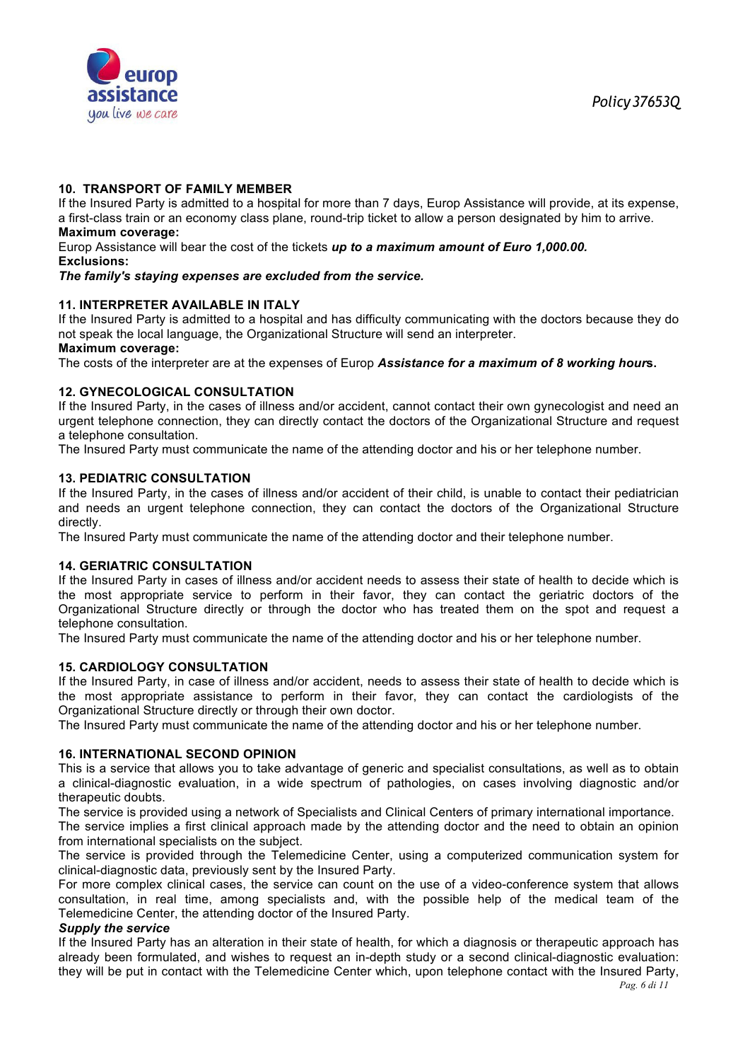

#### **10. TRANSPORT OF FAMILY MEMBER**

If the Insured Party is admitted to a hospital for more than 7 days, Europ Assistance will provide, at its expense, a first-class train or an economy class plane, round-trip ticket to allow a person designated by him to arrive. **Maximum coverage:**

Europ Assistance will bear the cost of the tickets *up to a maximum amount of Euro 1,000.00.* **Exclusions:** 

#### *The family's staying expenses are excluded from the service.*

### **11. INTERPRETER AVAILABLE IN ITALY**

If the Insured Party is admitted to a hospital and has difficulty communicating with the doctors because they do not speak the local language, the Organizational Structure will send an interpreter.

### **Maximum coverage:**

The costs of the interpreter are at the expenses of Europ *Assistance for a maximum of 8 working hour***s.**

### **12. GYNECOLOGICAL CONSULTATION**

If the Insured Party, in the cases of illness and/or accident, cannot contact their own gynecologist and need an urgent telephone connection, they can directly contact the doctors of the Organizational Structure and request a telephone consultation.

The Insured Party must communicate the name of the attending doctor and his or her telephone number.

### **13. PEDIATRIC CONSULTATION**

If the Insured Party, in the cases of illness and/or accident of their child, is unable to contact their pediatrician and needs an urgent telephone connection, they can contact the doctors of the Organizational Structure directly.

The Insured Party must communicate the name of the attending doctor and their telephone number.

### **14. GERIATRIC CONSULTATION**

If the Insured Party in cases of illness and/or accident needs to assess their state of health to decide which is the most appropriate service to perform in their favor, they can contact the geriatric doctors of the Organizational Structure directly or through the doctor who has treated them on the spot and request a telephone consultation.

The Insured Party must communicate the name of the attending doctor and his or her telephone number.

### **15. CARDIOLOGY CONSULTATION**

If the Insured Party, in case of illness and/or accident, needs to assess their state of health to decide which is the most appropriate assistance to perform in their favor, they can contact the cardiologists of the Organizational Structure directly or through their own doctor.

The Insured Party must communicate the name of the attending doctor and his or her telephone number.

#### **16. INTERNATIONAL SECOND OPINION**

This is a service that allows you to take advantage of generic and specialist consultations, as well as to obtain a clinical-diagnostic evaluation, in a wide spectrum of pathologies, on cases involving diagnostic and/or therapeutic doubts.

The service is provided using a network of Specialists and Clinical Centers of primary international importance. The service implies a first clinical approach made by the attending doctor and the need to obtain an opinion from international specialists on the subject.

The service is provided through the Telemedicine Center, using a computerized communication system for clinical-diagnostic data, previously sent by the Insured Party.

For more complex clinical cases, the service can count on the use of a video-conference system that allows consultation, in real time, among specialists and, with the possible help of the medical team of the Telemedicine Center, the attending doctor of the Insured Party.

#### *Supply the service*

If the Insured Party has an alteration in their state of health, for which a diagnosis or therapeutic approach has already been formulated, and wishes to request an in-depth study or a second clinical-diagnostic evaluation: they will be put in contact with the Telemedicine Center which, upon telephone contact with the Insured Party,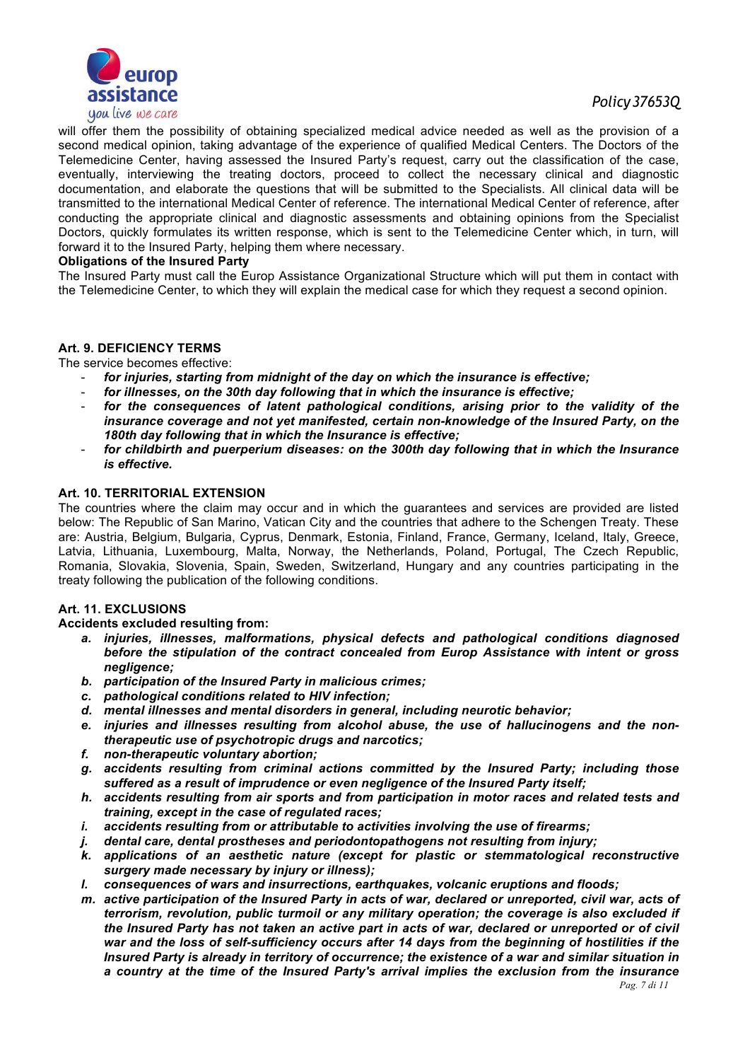

# *Policy37653Q*

will offer them the possibility of obtaining specialized medical advice needed as well as the provision of a second medical opinion, taking advantage of the experience of qualified Medical Centers. The Doctors of the Telemedicine Center, having assessed the Insured Party's request, carry out the classification of the case, eventually, interviewing the treating doctors, proceed to collect the necessary clinical and diagnostic documentation, and elaborate the questions that will be submitted to the Specialists. All clinical data will be transmitted to the international Medical Center of reference. The international Medical Center of reference, after conducting the appropriate clinical and diagnostic assessments and obtaining opinions from the Specialist Doctors, quickly formulates its written response, which is sent to the Telemedicine Center which, in turn, will forward it to the Insured Party, helping them where necessary.

### **Obligations of the Insured Party**

The Insured Party must call the Europ Assistance Organizational Structure which will put them in contact with the Telemedicine Center, to which they will explain the medical case for which they request a second opinion.

### **Art. 9. DEFICIENCY TERMS**

The service becomes effective:

- *for injuries, starting from midnight of the day on which the insurance is effective;*
- for illnesses, on the 30th day following that in which the insurance is effective;
- *for the consequences of latent pathological conditions, arising prior to the validity of the insurance coverage and not yet manifested, certain non-knowledge of the Insured Party, on the 180th day following that in which the Insurance is effective;*
- *for childbirth and puerperium diseases: on the 300th day following that in which the Insurance is effective.*

# **Art. 10. TERRITORIAL EXTENSION**

The countries where the claim may occur and in which the guarantees and services are provided are listed below: The Republic of San Marino, Vatican City and the countries that adhere to the Schengen Treaty. These are: Austria, Belgium, Bulgaria, Cyprus, Denmark, Estonia, Finland, France, Germany, Iceland, Italy, Greece, Latvia, Lithuania, Luxembourg, Malta, Norway, the Netherlands, Poland, Portugal, The Czech Republic, Romania, Slovakia, Slovenia, Spain, Sweden, Switzerland, Hungary and any countries participating in the treaty following the publication of the following conditions.

### **Art. 11. EXCLUSIONS**

**Accidents excluded resulting from:** 

- *a. injuries, illnesses, malformations, physical defects and pathological conditions diagnosed before the stipulation of the contract concealed from Europ Assistance with intent or gross negligence;*
- *b. participation of the Insured Party in malicious crimes;*
- *c. pathological conditions related to HIV infection;*
- *d. mental illnesses and mental disorders in general, including neurotic behavior;*
- *e. injuries and illnesses resulting from alcohol abuse, the use of hallucinogens and the nontherapeutic use of psychotropic drugs and narcotics;*
- *f. non-therapeutic voluntary abortion;*
- *g. accidents resulting from criminal actions committed by the Insured Party; including those suffered as a result of imprudence or even negligence of the Insured Party itself;*
- *h. accidents resulting from air sports and from participation in motor races and related tests and training, except in the case of regulated races;*
- *i. accidents resulting from or attributable to activities involving the use of firearms;*
- *j. dental care, dental prostheses and periodontopathogens not resulting from injury;*
- *k. applications of an aesthetic nature (except for plastic or stemmatological reconstructive surgery made necessary by injury or illness);*
- *l. consequences of wars and insurrections, earthquakes, volcanic eruptions and floods;*
- *m. active participation of the Insured Party in acts of war, declared or unreported, civil war, acts of terrorism, revolution, public turmoil or any military operation; the coverage is also excluded if the Insured Party has not taken an active part in acts of war, declared or unreported or of civil war and the loss of self-sufficiency occurs after 14 days from the beginning of hostilities if the Insured Party is already in territory of occurrence; the existence of a war and similar situation in a country at the time of the Insured Party's arrival implies the exclusion from the insurance*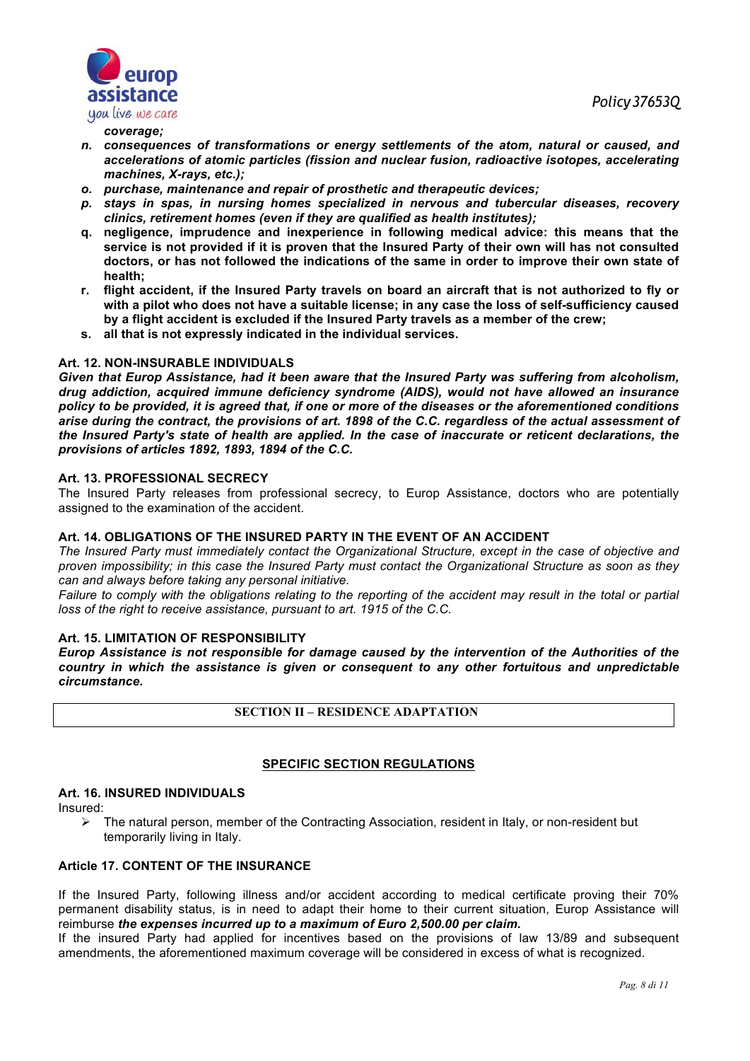

*coverage;* 

- *n. consequences of transformations or energy settlements of the atom, natural or caused, and accelerations of atomic particles (fission and nuclear fusion, radioactive isotopes, accelerating machines, X-rays, etc.);*
- *o. purchase, maintenance and repair of prosthetic and therapeutic devices;*
- *p. stays in spas, in nursing homes specialized in nervous and tubercular diseases, recovery clinics, retirement homes (even if they are qualified as health institutes);*
- **q. negligence, imprudence and inexperience in following medical advice: this means that the service is not provided if it is proven that the Insured Party of their own will has not consulted doctors, or has not followed the indications of the same in order to improve their own state of health;**
- **r. flight accident, if the Insured Party travels on board an aircraft that is not authorized to fly or with a pilot who does not have a suitable license; in any case the loss of self-sufficiency caused by a flight accident is excluded if the Insured Party travels as a member of the crew;**
- **s. all that is not expressly indicated in the individual services.**

#### **Art. 12. NON-INSURABLE INDIVIDUALS**

*Given that Europ Assistance, had it been aware that the Insured Party was suffering from alcoholism, drug addiction, acquired immune deficiency syndrome (AIDS), would not have allowed an insurance policy to be provided, it is agreed that, if one or more of the diseases or the aforementioned conditions arise during the contract, the provisions of art. 1898 of the C.C. regardless of the actual assessment of the Insured Party's state of health are applied. In the case of inaccurate or reticent declarations, the provisions of articles 1892, 1893, 1894 of the C.C.*

#### **Art. 13. PROFESSIONAL SECRECY**

The Insured Party releases from professional secrecy, to Europ Assistance, doctors who are potentially assigned to the examination of the accident.

#### **Art. 14. OBLIGATIONS OF THE INSURED PARTY IN THE EVENT OF AN ACCIDENT**

*The Insured Party must immediately contact the Organizational Structure, except in the case of objective and proven impossibility; in this case the Insured Party must contact the Organizational Structure as soon as they can and always before taking any personal initiative.*

*Failure to comply with the obligations relating to the reporting of the accident may result in the total or partial loss of the right to receive assistance, pursuant to art. 1915 of the C.C.*

#### **Art. 15. LIMITATION OF RESPONSIBILITY**

*Europ Assistance is not responsible for damage caused by the intervention of the Authorities of the country in which the assistance is given or consequent to any other fortuitous and unpredictable circumstance.*

## **SECTION II – RESIDENCE ADAPTATION**

#### **SPECIFIC SECTION REGULATIONS**

#### **Art. 16. INSURED INDIVIDUALS**

Insured:

 $\triangleright$  The natural person, member of the Contracting Association, resident in Italy, or non-resident but temporarily living in Italy.

#### **Article 17. CONTENT OF THE INSURANCE**

If the Insured Party, following illness and/or accident according to medical certificate proving their 70% permanent disability status, is in need to adapt their home to their current situation, Europ Assistance will reimburse *the expenses incurred up to a maximum of Euro 2,500.00 per claim.* 

If the insured Party had applied for incentives based on the provisions of law 13/89 and subsequent amendments, the aforementioned maximum coverage will be considered in excess of what is recognized.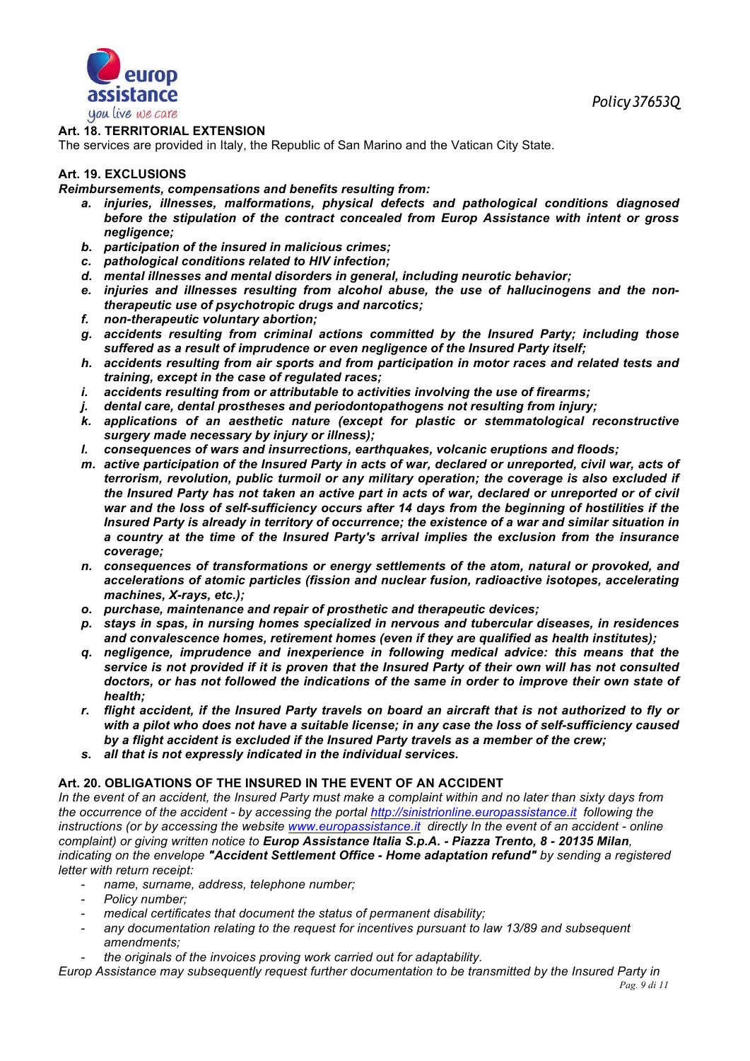*Policy37653Q*



**Art. 18. TERRITORIAL EXTENSION**

The services are provided in Italy, the Republic of San Marino and the Vatican City State.

#### **Art. 19. EXCLUSIONS**

*Reimbursements, compensations and benefits resulting from:*

- *a. injuries, illnesses, malformations, physical defects and pathological conditions diagnosed before the stipulation of the contract concealed from Europ Assistance with intent or gross negligence;*
- *b. participation of the insured in malicious crimes;*
- *c. pathological conditions related to HIV infection;*
- *d. mental illnesses and mental disorders in general, including neurotic behavior;*
- *e. injuries and illnesses resulting from alcohol abuse, the use of hallucinogens and the nontherapeutic use of psychotropic drugs and narcotics;*
- *f. non-therapeutic voluntary abortion;*
- *g. accidents resulting from criminal actions committed by the Insured Party; including those suffered as a result of imprudence or even negligence of the Insured Party itself;*
- *h. accidents resulting from air sports and from participation in motor races and related tests and training, except in the case of regulated races;*
- *i. accidents resulting from or attributable to activities involving the use of firearms;*
- *j. dental care, dental prostheses and periodontopathogens not resulting from injury;*
- *k. applications of an aesthetic nature (except for plastic or stemmatological reconstructive surgery made necessary by injury or illness);*
- *l. consequences of wars and insurrections, earthquakes, volcanic eruptions and floods;*
- *m. active participation of the Insured Party in acts of war, declared or unreported, civil war, acts of terrorism, revolution, public turmoil or any military operation; the coverage is also excluded if the Insured Party has not taken an active part in acts of war, declared or unreported or of civil war and the loss of self-sufficiency occurs after 14 days from the beginning of hostilities if the Insured Party is already in territory of occurrence; the existence of a war and similar situation in a country at the time of the Insured Party's arrival implies the exclusion from the insurance coverage;*
- *n. consequences of transformations or energy settlements of the atom, natural or provoked, and accelerations of atomic particles (fission and nuclear fusion, radioactive isotopes, accelerating machines, X-rays, etc.);*
- *o. purchase, maintenance and repair of prosthetic and therapeutic devices;*
- *p. stays in spas, in nursing homes specialized in nervous and tubercular diseases, in residences and convalescence homes, retirement homes (even if they are qualified as health institutes);*
- *q. negligence, imprudence and inexperience in following medical advice: this means that the service is not provided if it is proven that the Insured Party of their own will has not consulted doctors, or has not followed the indications of the same in order to improve their own state of health;*
- *r. flight accident, if the Insured Party travels on board an aircraft that is not authorized to fly or with a pilot who does not have a suitable license; in any case the loss of self-sufficiency caused by a flight accident is excluded if the Insured Party travels as a member of the crew;*
- *s. all that is not expressly indicated in the individual services.*

# **Art. 20. OBLIGATIONS OF THE INSURED IN THE EVENT OF AN ACCIDENT**

*In the event of an accident, the Insured Party must make a complaint within and no later than sixty days from the occurrence of the accident - by accessing the portal http://sinistrionline.europassistance.it following the instructions (or by accessing the website www.europassistance.it directly In the event of an accident - online complaint) or giving written notice to Europ Assistance Italia S.p.A. - Piazza Trento, 8 - 20135 Milan, indicating on the envelope "Accident Settlement Office - Home adaptation refund" by sending a registered letter with return receipt:*

- *name, surname, address, telephone number;*
- *Policy number;*
- *medical certificates that document the status of permanent disability;*
- *any documentation relating to the request for incentives pursuant to law 13/89 and subsequent amendments;*
	- *the originals of the invoices proving work carried out for adaptability.*

*Europ Assistance may subsequently request further documentation to be transmitted by the Insured Party in*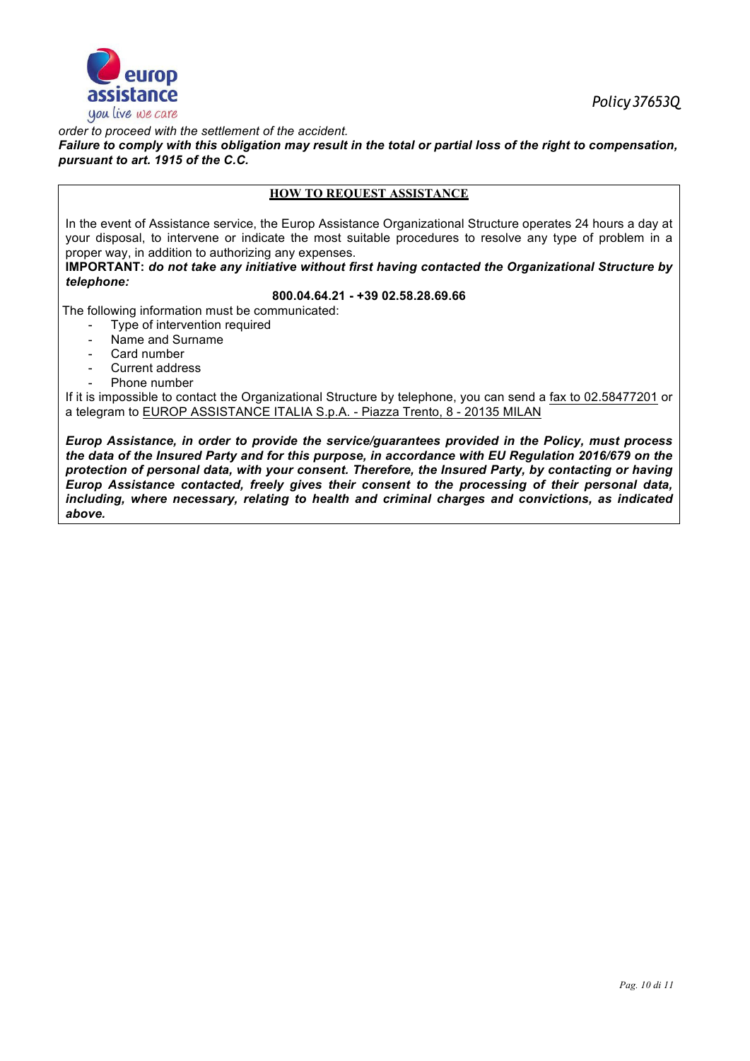

*order to proceed with the settlement of the accident. Failure to comply with this obligation may result in the total or partial loss of the right to compensation, pursuant to art. 1915 of the C.C.*

## **HOW TO REQUEST ASSISTANCE**

In the event of Assistance service, the Europ Assistance Organizational Structure operates 24 hours a day at your disposal, to intervene or indicate the most suitable procedures to resolve any type of problem in a proper way, in addition to authorizing any expenses.

**IMPORTANT:** *do not take any initiative without first having contacted the Organizational Structure by telephone:*

#### **800.04.64.21 - +39 02.58.28.69.66**

The following information must be communicated:

- Type of intervention required
- Name and Surname
- Card number
- Current address
- Phone number

If it is impossible to contact the Organizational Structure by telephone, you can send a fax to 02.58477201 or a telegram to EUROP ASSISTANCE ITALIA S.p.A. - Piazza Trento, 8 - 20135 MILAN

*Europ Assistance, in order to provide the service/guarantees provided in the Policy, must process the data of the Insured Party and for this purpose, in accordance with EU Regulation 2016/679 on the protection of personal data, with your consent. Therefore, the Insured Party, by contacting or having Europ Assistance contacted, freely gives their consent to the processing of their personal data, including, where necessary, relating to health and criminal charges and convictions, as indicated above.*